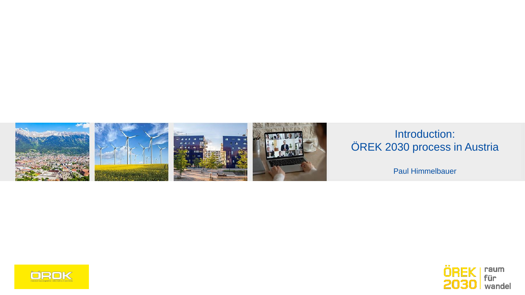



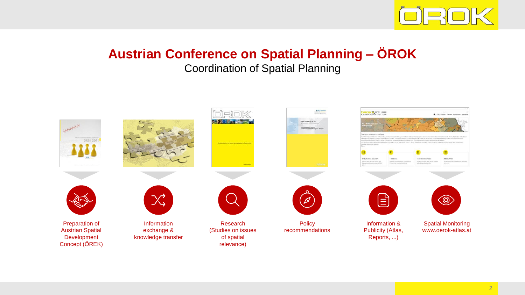

# **Austrian Conference on Spatial Planning – ÖROK**

#### Coordination of Spatial Planning

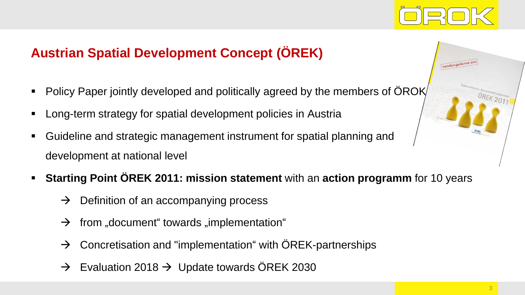

# **Austrian Spatial Development Concept (ÖREK)**

- Policy Paper jointly developed and politically agreed by the members of ÖROK
- Long-term strategy for spatial development policies in Austria
- Guideline and strategic management instrument for spatial planning and development at national level
- **Starting Point ÖREK 2011: mission statement** with an **action programm** for 10 years
	- $\rightarrow$  Definition of an accompanying process
	- $\rightarrow$  from "document" towards "implementation"
	- $\rightarrow$  Concretisation and "implementation" with ÖREK-partnerships
	- $\rightarrow$  Evaluation 2018  $\rightarrow$  Update towards ÖREK 2030

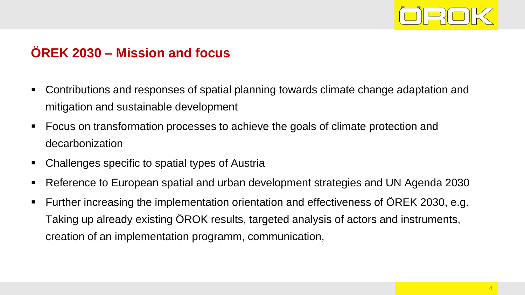

### **ÖREK 2030 – Mission and focus**

- Contributions and responses of spatial planning towards climate change adaptation and mitigation and sustainable development
- Focus on transformation processes to achieve the goals of climate protection and decarbonization
- Challenges specific to spatial types of Austria
- Reference to European spatial and urban development strategies and UN Agenda 2030
- Further increasing the implementation orientation and effectiveness of ÖREK 2030, e.g. Taking up already existing ÖROK results, targeted analysis of actors and instruments, creation of an implementation programm, communication,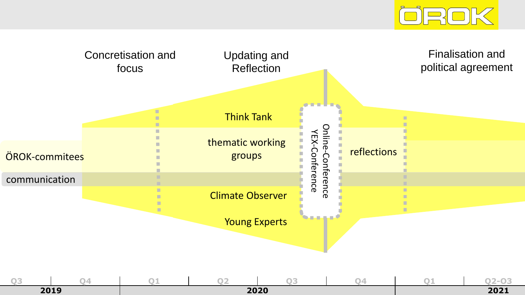

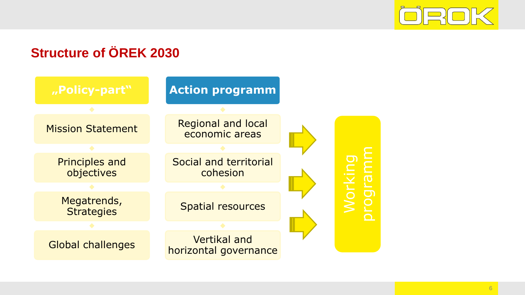

# **Structure of ÖREK 2030**

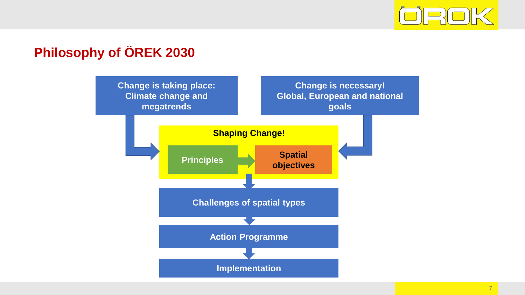

# **Philosophy of ÖREK 2030**

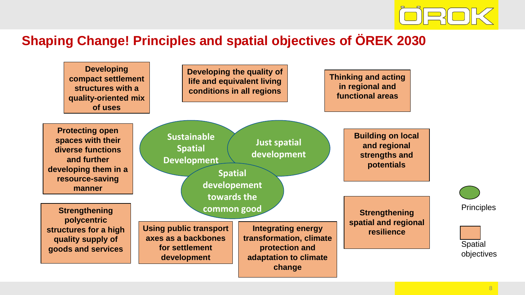

### **Shaping Change! Principles and spatial objectives of ÖREK 2030**

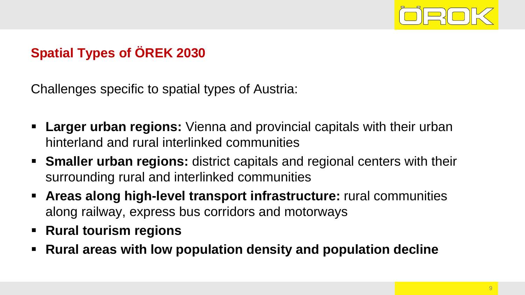

# **Spatial Types of ÖREK 2030**

Challenges specific to spatial types of Austria:

- **Example rights in Larger urban regions:** Vienna and provincial capitals with their urban hinterland and rural interlinked communities
- **EXTE Smaller urban regions:** district capitals and regional centers with their surrounding rural and interlinked communities
- **EXPERS Areas along high-level transport infrastructure:** rural communities along railway, express bus corridors and motorways
- **Rural tourism regions**
- Rural areas with low population density and population decline